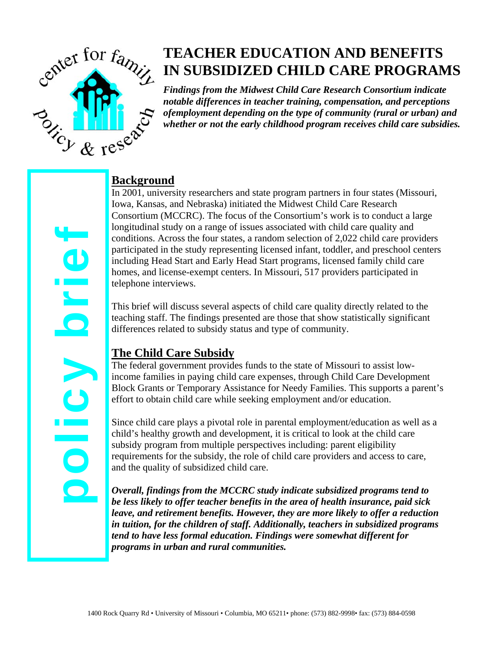

# **TEACHER EDUCATION AND BENEFITS IN SUBSIDIZED CHILD CARE PROGRAMS**

*Findings from the Midwest Child Care Research Consortium indicate notable differences in teacher training, compensation, and perceptions ofemployment depending on the type of community (rural or urban) and whether or not the early childhood program receives child care subsidies.*

### **Background**

In 2001, university researchers and state program partners in four states (Missouri, Iowa, Kansas, and Nebraska) initiated the Midwest Child Care Research Consortium (MCCRC). The focus of the Consortium's work is to conduct a large longitudinal study on a range of issues associated with child care quality and conditions. Across the four states, a random selection of 2,022 child care providers participated in the study representing licensed infant, toddler, and preschool centers including Head Start and Early Head Start programs, licensed family child care homes, and license-exempt centers. In Missouri, 517 providers participated in telephone interviews.

This brief will discuss several aspects of child care quality directly related to the teaching staff. The findings presented are those that show statistically significant differences related to subsidy status and type of community.

## **The Child Care Subsidy**

The federal government provides funds to the state of Missouri to assist lowincome families in paying child care expenses, through Child Care Development Block Grants or Temporary Assistance for Needy Families. This supports a parent's effort to obtain child care while seeking employment and/or education.

Since child care plays a pivotal role in parental employment/education as well as a child's healthy growth and development, it is critical to look at the child care subsidy program from multiple perspectives including: parent eligibility requirements for the subsidy, the role of child care providers and access to care, and the quality of subsidized child care.

*Overall, findings from the MCCRC study indicate subsidized programs tend to be less likely to offer teacher benefits in the area of health insurance, paid sick leave, and retirement benefits. However, they are more likely to offer a reduction in tuition, for the children of staff. Additionally, teachers in subsidized programs tend to have less formal education. Findings were somewhat different for programs in urban and rural communities.*